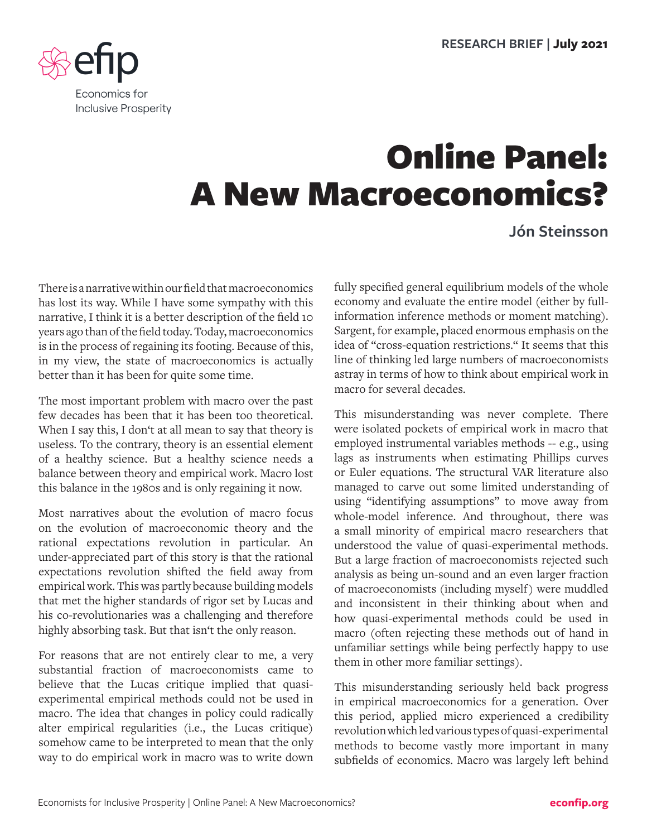

## Online Panel: A New Macroeconomics?

**Jón Steinsson**

There is a narrative within our field that macroeconomics has lost its way. While I have some sympathy with this narrative, I think it is a better description of the field 10 years ago than of the field today. Today, macroeconomics is in the process of regaining its footing. Because of this, in my view, the state of macroeconomics is actually better than it has been for quite some time.

The most important problem with macro over the past few decades has been that it has been too theoretical. When I say this, I don't at all mean to say that theory is useless. To the contrary, theory is an essential element of a healthy science. But a healthy science needs a balance between theory and empirical work. Macro lost this balance in the 1980s and is only regaining it now.

Most narratives about the evolution of macro focus on the evolution of macroeconomic theory and the rational expectations revolution in particular. An under-appreciated part of this story is that the rational expectations revolution shifted the field away from empirical work. This was partly because building models that met the higher standards of rigor set by Lucas and his co-revolutionaries was a challenging and therefore highly absorbing task. But that isn't the only reason.

For reasons that are not entirely clear to me, a very substantial fraction of macroeconomists came to believe that the Lucas critique implied that quasiexperimental empirical methods could not be used in macro. The idea that changes in policy could radically alter empirical regularities (i.e., the Lucas critique) somehow came to be interpreted to mean that the only way to do empirical work in macro was to write down fully specified general equilibrium models of the whole economy and evaluate the entire model (either by fullinformation inference methods or moment matching). Sargent, for example, placed enormous emphasis on the idea of "cross-equation restrictions." It seems that this line of thinking led large numbers of macroeconomists astray in terms of how to think about empirical work in macro for several decades.

This misunderstanding was never complete. There were isolated pockets of empirical work in macro that employed instrumental variables methods -- e.g., using lags as instruments when estimating Phillips curves or Euler equations. The structural VAR literature also managed to carve out some limited understanding of using "identifying assumptions" to move away from whole-model inference. And throughout, there was a small minority of empirical macro researchers that understood the value of quasi-experimental methods. But a large fraction of macroeconomists rejected such analysis as being un-sound and an even larger fraction of macroeconomists (including myself) were muddled and inconsistent in their thinking about when and how quasi-experimental methods could be used in macro (often rejecting these methods out of hand in unfamiliar settings while being perfectly happy to use them in other more familiar settings).

This misunderstanding seriously held back progress in empirical macroeconomics for a generation. Over this period, applied micro experienced a credibility revolution which led various types of quasi-experimental methods to become vastly more important in many subfields of economics. Macro was largely left behind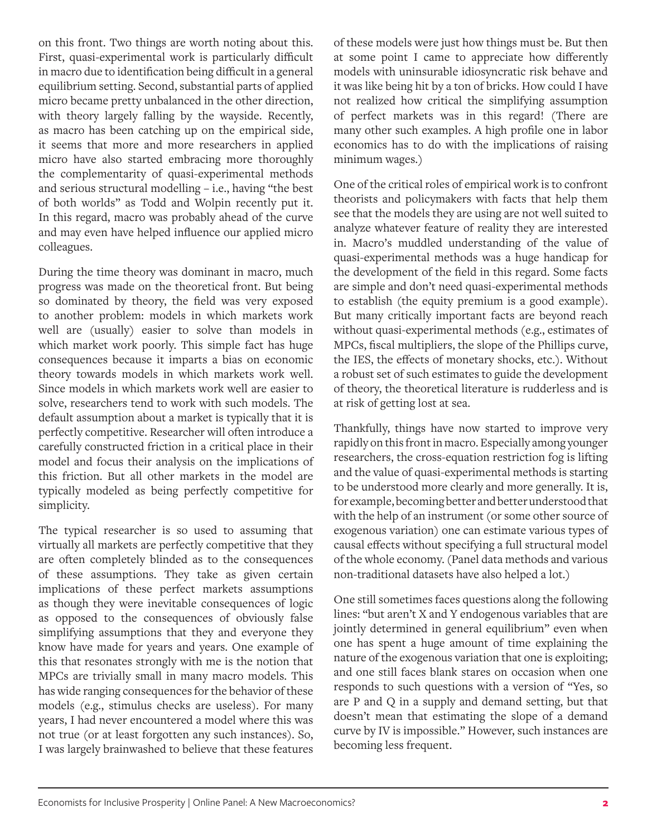on this front. Two things are worth noting about this. First, quasi-experimental work is particularly difficult in macro due to identification being difficult in a general equilibrium setting. Second, substantial parts of applied micro became pretty unbalanced in the other direction, with theory largely falling by the wayside. Recently, as macro has been catching up on the empirical side, it seems that more and more researchers in applied micro have also started embracing more thoroughly the complementarity of quasi-experimental methods and serious structural modelling – i.e., having "the best of both worlds" as Todd and Wolpin recently put it. In this regard, macro was probably ahead of the curve and may even have helped influence our applied micro colleagues.

During the time theory was dominant in macro, much progress was made on the theoretical front. But being so dominated by theory, the field was very exposed to another problem: models in which markets work well are (usually) easier to solve than models in which market work poorly. This simple fact has huge consequences because it imparts a bias on economic theory towards models in which markets work well. Since models in which markets work well are easier to solve, researchers tend to work with such models. The default assumption about a market is typically that it is perfectly competitive. Researcher will often introduce a carefully constructed friction in a critical place in their model and focus their analysis on the implications of this friction. But all other markets in the model are typically modeled as being perfectly competitive for simplicity.

The typical researcher is so used to assuming that virtually all markets are perfectly competitive that they are often completely blinded as to the consequences of these assumptions. They take as given certain implications of these perfect markets assumptions as though they were inevitable consequences of logic as opposed to the consequences of obviously false simplifying assumptions that they and everyone they know have made for years and years. One example of this that resonates strongly with me is the notion that MPCs are trivially small in many macro models. This has wide ranging consequences for the behavior of these models (e.g., stimulus checks are useless). For many years, I had never encountered a model where this was not true (or at least forgotten any such instances). So, I was largely brainwashed to believe that these features

of these models were just how things must be. But then at some point I came to appreciate how differently models with uninsurable idiosyncratic risk behave and it was like being hit by a ton of bricks. How could I have not realized how critical the simplifying assumption of perfect markets was in this regard! (There are many other such examples. A high profile one in labor economics has to do with the implications of raising minimum wages.)

One of the critical roles of empirical work is to confront theorists and policymakers with facts that help them see that the models they are using are not well suited to analyze whatever feature of reality they are interested in. Macro's muddled understanding of the value of quasi-experimental methods was a huge handicap for the development of the field in this regard. Some facts are simple and don't need quasi-experimental methods to establish (the equity premium is a good example). But many critically important facts are beyond reach without quasi-experimental methods (e.g., estimates of MPCs, fiscal multipliers, the slope of the Phillips curve, the IES, the effects of monetary shocks, etc.). Without a robust set of such estimates to guide the development of theory, the theoretical literature is rudderless and is at risk of getting lost at sea.

Thankfully, things have now started to improve very rapidly on this front in macro. Especially among younger researchers, the cross-equation restriction fog is lifting and the value of quasi-experimental methods is starting to be understood more clearly and more generally. It is, for example, becoming better and better understood that with the help of an instrument (or some other source of exogenous variation) one can estimate various types of causal effects without specifying a full structural model of the whole economy. (Panel data methods and various non-traditional datasets have also helped a lot.)

One still sometimes faces questions along the following lines: "but aren't X and Y endogenous variables that are jointly determined in general equilibrium" even when one has spent a huge amount of time explaining the nature of the exogenous variation that one is exploiting; and one still faces blank stares on occasion when one responds to such questions with a version of "Yes, so are P and Q in a supply and demand setting, but that doesn't mean that estimating the slope of a demand curve by IV is impossible." However, such instances are becoming less frequent.